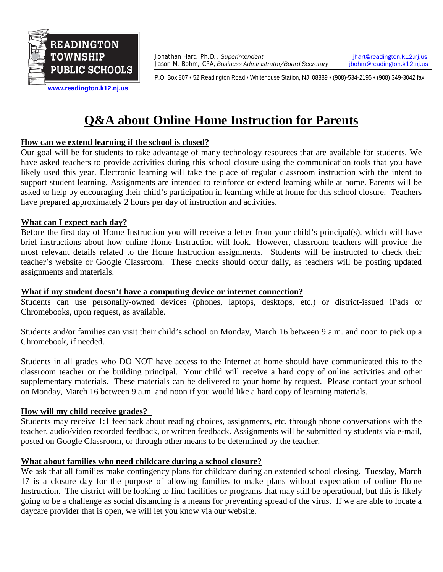

Jonathan Hart, Ph.D., *Superintendent* **index** intervalsion.k12.nj.us<br>Jason M. Bohm, CPA, Business Administrator/Board Secretary **interval and intervalsion** intervalsion.k12.nj.us Jason M. Bohm, CPA, Business Administrator/Board Secretary

P.O. Box 807 • 52 Readington Road • Whitehouse Station, NJ 08889 • (908)-534-2195 • (908) 349-3042 fax

**[www.readington.k12.nj.us](http://www.readington.k12.nj.us/)**

# **Q&A about Online Home Instruction for Parents**

#### **How can we extend learning if the school is closed?**

Our goal will be for students to take advantage of many technology resources that are available for students. We have asked teachers to provide activities during this school closure using the communication tools that you have likely used this year. Electronic learning will take the place of regular classroom instruction with the intent to support student learning. Assignments are intended to reinforce or extend learning while at home. Parents will be asked to help by encouraging their child's participation in learning while at home for this school closure. Teachers have prepared approximately 2 hours per day of instruction and activities.

#### **What can I expect each day?**

Before the first day of Home Instruction you will receive a letter from your child's principal(s), which will have brief instructions about how online Home Instruction will look. However, classroom teachers will provide the most relevant details related to the Home Instruction assignments. Students will be instructed to check their teacher's website or Google Classroom. These checks should occur daily, as teachers will be posting updated assignments and materials.

#### **What if my student doesn't have a computing device or internet connection?**

Students can use personally-owned devices (phones, laptops, desktops, etc.) or district-issued iPads or Chromebooks, upon request, as available.

Students and/or families can visit their child's school on Monday, March 16 between 9 a.m. and noon to pick up a Chromebook, if needed.

Students in all grades who DO NOT have access to the Internet at home should have communicated this to the classroom teacher or the building principal. Your child will receive a hard copy of online activities and other supplementary materials. These materials can be delivered to your home by request. Please contact your school on Monday, March 16 between 9 a.m. and noon if you would like a hard copy of learning materials.

#### **How will my child receive grades?**

Students may receive 1:1 feedback about reading choices, assignments, etc. through phone conversations with the teacher, audio/video recorded feedback, or written feedback. Assignments will be submitted by students via e-mail, posted on Google Classroom, or through other means to be determined by the teacher.

#### **What about families who need childcare during a school closure?**

We ask that all families make contingency plans for childcare during an extended school closing. Tuesday, March 17 is a closure day for the purpose of allowing families to make plans without expectation of online Home Instruction. The district will be looking to find facilities or programs that may still be operational, but this is likely going to be a challenge as social distancing is a means for preventing spread of the virus. If we are able to locate a daycare provider that is open, we will let you know via our website.